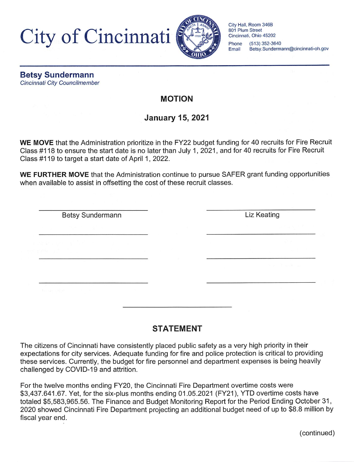City of Cincinnati



City Hall, Room 346B 801 Plum Street Cincinnati, Ohio 45202 Phone (513) 352-3640<br>Email Betsy Sunderma Betsy.Sundermann@cincinnati-oh.gov

Betsy Sundermann Cincinnati City Councilmember

### MOTION

# January 15, 2021

WE MOVE that the Administration prioritize in the FY22 budget funding for 40 recruits for Fire Recruit Class #118 to ensure the start date is no later than July 1, 2021, and for 40 recruits for Fire Recruit Glass #119 to target a start date of April 1, 2022.

WE FURTHER MOVE that the Administration continue to pursue SAFER grant funding opportunities when available to assist in offsetting the cost of these recruit classes.

Betsy Sundermann **Liz Keating** 

## STATEMENT

The citizens of Cincinnati have consistently placed public safety as a very high priority in their expectations for city services. Adequate funding for fire and police protection is critical to providing these services. Currently, the budget for fire personnel and department expenses is being heavily challenged by COVID-19 and attrition.

For the twelve months ending FY20, the Cincinnati Fire Department overtime costs were \$3,437,641.67. Yet, for the six-plus months ending 01.05.2021 (FY21), YTD overtime costs have totaled \$5,583,965.56. The Finance and Budget Monitoring Report for the Period Ending October 31, 2020 showed Cincinnati Fire Department projecting an additional budget need of up to \$8.8 million by fiscal year end.

(continued)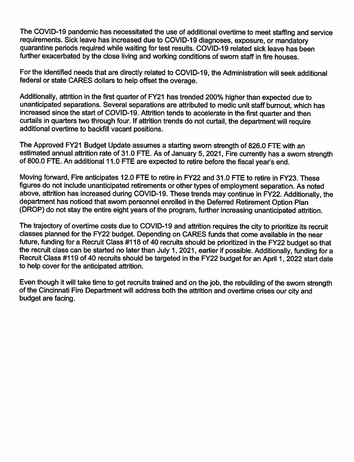The COVID-19 pandemic has necessitated the use of additional overtime to meet staffing and service requirements. Sick leave has increased due to COVID-19 diagnoses, exposure, or mandatory quarantine periods required while waiting for test results. COVID-19 related sick leave has been further exacerbated by the close living and working conditions of sworn staff in fire houses.

For the identified needs that are directly related to COVID-19, the Administration will seek additional federal or state CARES dollars to help offset the overage.

Additionally, attrition in the first quarter of FY21 has trended 200% higher than expected due to unanticipated separations. Several separations are attributed to medic unit staff burnout, which has increased since the start of COVID-19. Attrition tends to accelerate in the first quarter and then curtails in quarters two through four. If attrition trends do not curtail, the department will require additional overtime to backfill vacant positions.

The Approved FY21 Budget Update assumes a starting sworn strength of 826.0 FTE with an estimated annual attrition rate of 31.0 FTE. As of January 5, 2021, Fire currently has a sworn strength of 800.0 FTE. An additional 11.0 FTE are expected to retire before the fiscal year's end.

Moving forward. Fire anticipates 12.0 FTE to retire in FY22 and 31.0 FTE to retire in FY23. These figures do not include unanticipated retirements or other types of employment separation. As noted above, attrition has increased during COVID-19. These trends may continue in FY22. Additionally, the department has noticed that sworn personnel enrolled in the Deferred Retirement Option Plan (DROP) do not stay the entire eight years of the program, further increasing unanticipated attrition.

The trajectory of overtime costs due to COVID-19 and attrition requires the city to prioritize its recruit classes planned for the FY22 budget. Depending on CARES funds that come available in the near future, funding for a Recruit Class #118 of 40 recruits should be prioritized in the FY22 budget so that the recruit class can be started no later than July 1, 2021, earlier if possible. Additionally, funding for a Recruit Class #119 of 40 recruits should be targeted in the FY22 budget for an April 1, 2022 start date to help cover for the anticipated attrition.

Even though it will take time to get recruits trained and on the job, the rebuilding of the sworn strength of the Cincinnati Fire Department will address both the attrition and overtime crises our city and budget are facing.